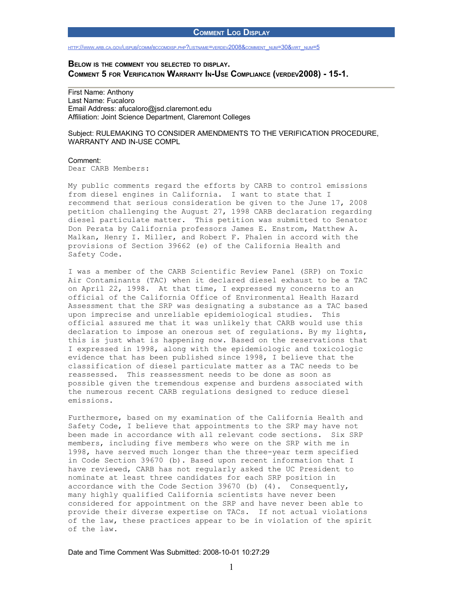### **COMMENT LOG DISPLAY**

#### HTTP://WWW.ARB.CA.GOV/LISPUB/COMM/BCCOMDISP.PHP?LISTNAME=VERDEV[2008&](http://www.arb.ca.gov/lispub/comm/bccomdisp.php?listname=verdev2008&comment_num=30&virt_num=5)COMMENT\_NUM=30&VIRT\_NUM=5

# **BELOW IS THE COMMENT YOU SELECTED TO DISPLAY. COMMENT 5 FOR VERIFICATION WARRANTY IN-USE COMPLIANCE (VERDEV2008) - 15-1.**

First Name: Anthony Last Name: Fucaloro Email Address: afucaloro@jsd.claremont.edu Affiliation: Joint Science Department, Claremont Colleges

### Subject: RULEMAKING TO CONSIDER AMENDMENTS TO THE VERIFICATION PROCEDURE, WARRANTY AND IN-USE COMPL

## Comment:

Dear CARB Members:

My public comments regard the efforts by CARB to control emissions from diesel engines in California. I want to state that I recommend that serious consideration be given to the June 17, 2008 petition challenging the August 27, 1998 CARB declaration regarding diesel particulate matter. This petition was submitted to Senator Don Perata by California professors James E. Enstrom, Matthew A. Malkan, Henry I. Miller, and Robert F. Phalen in accord with the provisions of Section 39662 (e) of the California Health and Safety Code.

I was a member of the CARB Scientific Review Panel (SRP) on Toxic Air Contaminants (TAC) when it declared diesel exhaust to be a TAC on April 22, 1998. At that time, I expressed my concerns to an official of the California Office of Environmental Health Hazard Assessment that the SRP was designating a substance as a TAC based upon imprecise and unreliable epidemiological studies. This official assured me that it was unlikely that CARB would use this declaration to impose an onerous set of regulations. By my lights, this is just what is happening now. Based on the reservations that I expressed in 1998, along with the epidemiologic and toxicologic evidence that has been published since 1998, I believe that the classification of diesel particulate matter as a TAC needs to be reassessed. This reassessment needs to be done as soon as possible given the tremendous expense and burdens associated with the numerous recent CARB regulations designed to reduce diesel emissions.

Furthermore, based on my examination of the California Health and Safety Code, I believe that appointments to the SRP may have not been made in accordance with all relevant code sections. Six SRP members, including five members who were on the SRP with me in 1998, have served much longer than the three-year term specified in Code Section 39670 (b). Based upon recent information that I have reviewed, CARB has not regularly asked the UC President to nominate at least three candidates for each SRP position in accordance with the Code Section 39670 (b) (4). Consequently, many highly qualified California scientists have never been considered for appointment on the SRP and have never been able to provide their diverse expertise on TACs. If not actual violations of the law, these practices appear to be in violation of the spirit of the law.

#### Date and Time Comment Was Submitted: 2008-10-01 10:27:29